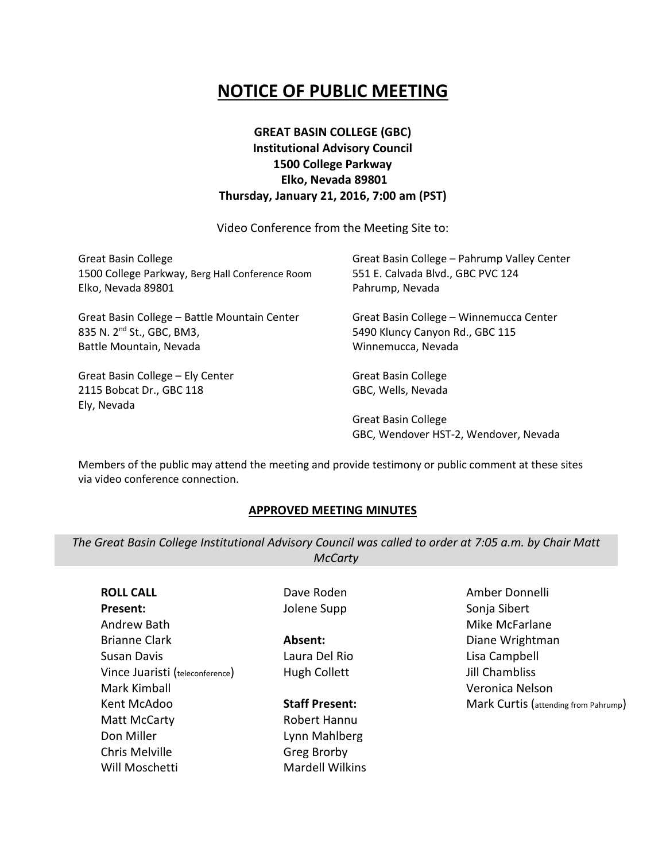# **NOTICE OF PUBLIC MEETING**

# **GREAT BASIN COLLEGE (GBC) Institutional Advisory Council 1500 College Parkway Elko, Nevada 89801 Thursday, January 21, 2016, 7:00 am (PST)**

Video Conference from the Meeting Site to:

| <b>Great Basin College</b><br>1500 College Parkway, Berg Hall Conference Room<br>Elko, Nevada 89801 | Great Basin College - Pahrump Valley Center<br>551 E. Calvada Blvd., GBC PVC 124<br>Pahrump, Nevada |
|-----------------------------------------------------------------------------------------------------|-----------------------------------------------------------------------------------------------------|
| Great Basin College - Battle Mountain Center                                                        | Great Basin College - Winnemucca Center                                                             |
| 835 N. 2 <sup>nd</sup> St., GBC, BM3,                                                               | 5490 Kluncy Canyon Rd., GBC 115                                                                     |
| Battle Mountain, Nevada                                                                             | Winnemucca, Nevada                                                                                  |
| Great Basin College - Ely Center                                                                    | <b>Great Basin College</b>                                                                          |
| 2115 Bobcat Dr., GBC 118                                                                            | GBC, Wells, Nevada                                                                                  |
| Ely, Nevada                                                                                         |                                                                                                     |
|                                                                                                     | <b>Great Basin College</b>                                                                          |
|                                                                                                     | GBC, Wendover HST-2, Wendover, Nevada                                                               |

Members of the public may attend the meeting and provide testimony or public comment at these sites via video conference connection.

#### **APPROVED MEETING MINUTES**

*The Great Basin College Institutional Advisory Council was called to order at 7:05 a.m. by Chair Matt McCarty*

**ROLL CALL Present:** Andrew Bath Brianne Clark Susan Davis Vince Juaristi (teleconference) Mark Kimball Kent McAdoo Matt McCarty Don Miller Chris Melville Will Moschetti

Dave Roden Jolene Supp

**Absent:** Laura Del Rio Hugh Collett

#### **Staff Present:**

Robert Hannu Lynn Mahlberg Greg Brorby Mardell Wilkins Amber Donnelli Sonja Sibert Mike McFarlane Diane Wrightman Lisa Campbell Jill Chambliss Veronica Nelson Mark Curtis (attending from Pahrump)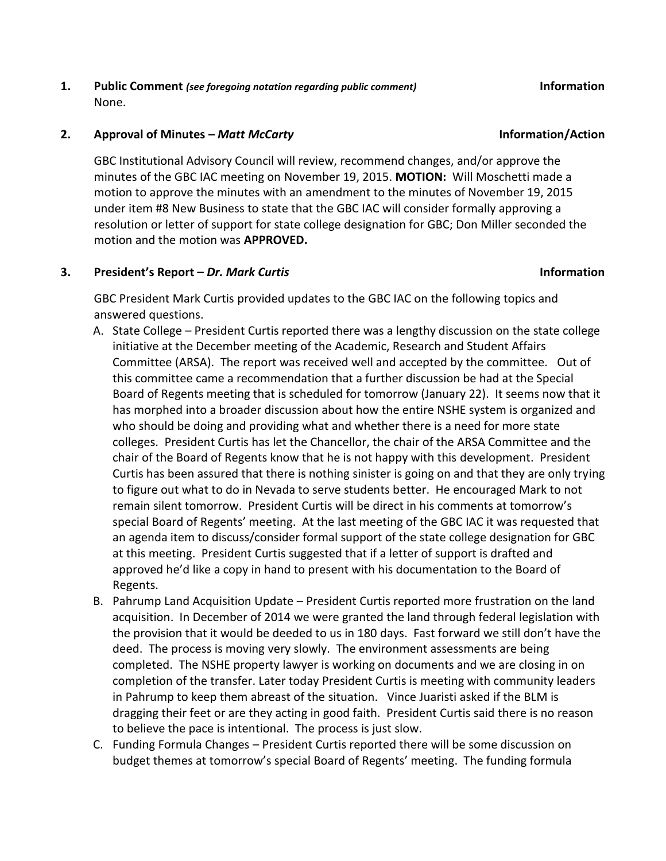**1. Public Comment** *(see foregoing notation regarding public comment)* **Information** None.

### **2. Approval of Minutes –** *Matt McCarty* **Information/Action**

GBC Institutional Advisory Council will review, recommend changes, and/or approve the minutes of the GBC IAC meeting on November 19, 2015. **MOTION:** Will Moschetti made a motion to approve the minutes with an amendment to the minutes of November 19, 2015 under item #8 New Business to state that the GBC IAC will consider formally approving a resolution or letter of support for state college designation for GBC; Don Miller seconded the motion and the motion was **APPROVED.** 

# **3. President's Report –** *Dr. Mark Curtis* **Information**

GBC President Mark Curtis provided updates to the GBC IAC on the following topics and answered questions.

- A. State College President Curtis reported there was a lengthy discussion on the state college initiative at the December meeting of the Academic, Research and Student Affairs Committee (ARSA). The report was received well and accepted by the committee. Out of this committee came a recommendation that a further discussion be had at the Special Board of Regents meeting that is scheduled for tomorrow (January 22). It seems now that it has morphed into a broader discussion about how the entire NSHE system is organized and who should be doing and providing what and whether there is a need for more state colleges. President Curtis has let the Chancellor, the chair of the ARSA Committee and the chair of the Board of Regents know that he is not happy with this development. President Curtis has been assured that there is nothing sinister is going on and that they are only trying to figure out what to do in Nevada to serve students better. He encouraged Mark to not remain silent tomorrow. President Curtis will be direct in his comments at tomorrow's special Board of Regents' meeting. At the last meeting of the GBC IAC it was requested that an agenda item to discuss/consider formal support of the state college designation for GBC at this meeting. President Curtis suggested that if a letter of support is drafted and approved he'd like a copy in hand to present with his documentation to the Board of Regents.
- B. Pahrump Land Acquisition Update President Curtis reported more frustration on the land acquisition. In December of 2014 we were granted the land through federal legislation with the provision that it would be deeded to us in 180 days. Fast forward we still don't have the deed. The process is moving very slowly. The environment assessments are being completed. The NSHE property lawyer is working on documents and we are closing in on completion of the transfer. Later today President Curtis is meeting with community leaders in Pahrump to keep them abreast of the situation. Vince Juaristi asked if the BLM is dragging their feet or are they acting in good faith. President Curtis said there is no reason to believe the pace is intentional. The process is just slow.
- C. Funding Formula Changes President Curtis reported there will be some discussion on budget themes at tomorrow's special Board of Regents' meeting. The funding formula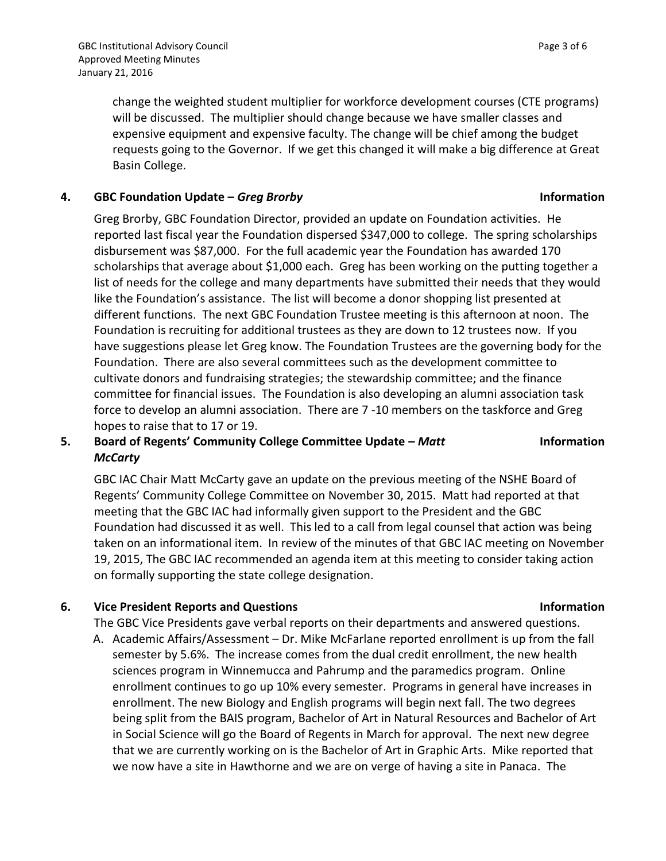change the weighted student multiplier for workforce development courses (CTE programs) will be discussed. The multiplier should change because we have smaller classes and expensive equipment and expensive faculty. The change will be chief among the budget requests going to the Governor. If we get this changed it will make a big difference at Great Basin College.

### **4. GBC Foundation Update –** *Greg Brorby* **Information**

Greg Brorby, GBC Foundation Director, provided an update on Foundation activities. He reported last fiscal year the Foundation dispersed \$347,000 to college. The spring scholarships disbursement was \$87,000. For the full academic year the Foundation has awarded 170 scholarships that average about \$1,000 each. Greg has been working on the putting together a list of needs for the college and many departments have submitted their needs that they would like the Foundation's assistance. The list will become a donor shopping list presented at different functions. The next GBC Foundation Trustee meeting is this afternoon at noon. The Foundation is recruiting for additional trustees as they are down to 12 trustees now. If you have suggestions please let Greg know. The Foundation Trustees are the governing body for the Foundation. There are also several committees such as the development committee to cultivate donors and fundraising strategies; the stewardship committee; and the finance committee for financial issues. The Foundation is also developing an alumni association task force to develop an alumni association. There are 7 -10 members on the taskforce and Greg hopes to raise that to 17 or 19.

# **5. Board of Regents' Community College Committee Update –** *Matt McCarty*

GBC IAC Chair Matt McCarty gave an update on the previous meeting of the NSHE Board of Regents' Community College Committee on November 30, 2015. Matt had reported at that meeting that the GBC IAC had informally given support to the President and the GBC Foundation had discussed it as well. This led to a call from legal counsel that action was being taken on an informational item. In review of the minutes of that GBC IAC meeting on November 19, 2015, The GBC IAC recommended an agenda item at this meeting to consider taking action on formally supporting the state college designation.

# **6. Vice President Reports and Questions Information**

The GBC Vice Presidents gave verbal reports on their departments and answered questions.

A. Academic Affairs/Assessment – Dr. Mike McFarlane reported enrollment is up from the fall semester by 5.6%. The increase comes from the dual credit enrollment, the new health sciences program in Winnemucca and Pahrump and the paramedics program. Online enrollment continues to go up 10% every semester. Programs in general have increases in enrollment. The new Biology and English programs will begin next fall. The two degrees being split from the BAIS program, Bachelor of Art in Natural Resources and Bachelor of Art in Social Science will go the Board of Regents in March for approval. The next new degree that we are currently working on is the Bachelor of Art in Graphic Arts. Mike reported that we now have a site in Hawthorne and we are on verge of having a site in Panaca. The

# **Information**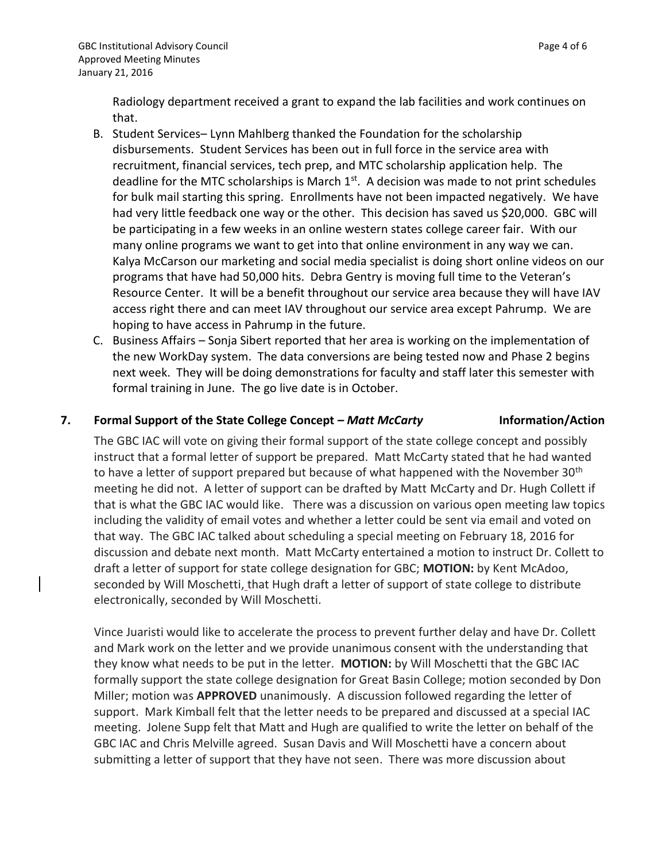Radiology department received a grant to expand the lab facilities and work continues on that.

- B. Student Services– Lynn Mahlberg thanked the Foundation for the scholarship disbursements. Student Services has been out in full force in the service area with recruitment, financial services, tech prep, and MTC scholarship application help. The deadline for the MTC scholarships is March  $1<sup>st</sup>$ . A decision was made to not print schedules for bulk mail starting this spring. Enrollments have not been impacted negatively. We have had very little feedback one way or the other. This decision has saved us \$20,000. GBC will be participating in a few weeks in an online western states college career fair. With our many online programs we want to get into that online environment in any way we can. Kalya McCarson our marketing and social media specialist is doing short online videos on our programs that have had 50,000 hits. Debra Gentry is moving full time to the Veteran's Resource Center. It will be a benefit throughout our service area because they will have IAV access right there and can meet IAV throughout our service area except Pahrump. We are hoping to have access in Pahrump in the future.
- C. Business Affairs Sonja Sibert reported that her area is working on the implementation of the new WorkDay system. The data conversions are being tested now and Phase 2 begins next week. They will be doing demonstrations for faculty and staff later this semester with formal training in June. The go live date is in October.

### **7. Formal Support of the State College Concept – Matt McCarty <b>Information/Action**

The GBC IAC will vote on giving their formal support of the state college concept and possibly instruct that a formal letter of support be prepared. Matt McCarty stated that he had wanted to have a letter of support prepared but because of what happened with the November 30<sup>th</sup> meeting he did not. A letter of support can be drafted by Matt McCarty and Dr. Hugh Collett if that is what the GBC IAC would like. There was a discussion on various open meeting law topics including the validity of email votes and whether a letter could be sent via email and voted on that way. The GBC IAC talked about scheduling a special meeting on February 18, 2016 for discussion and debate next month. Matt McCarty entertained a motion to instruct Dr. Collett to draft a letter of support for state college designation for GBC; **MOTION:** by Kent McAdoo, seconded by Will Moschetti, that Hugh draft a letter of support of state college to distribute electronically, seconded by Will Moschetti.

Vince Juaristi would like to accelerate the process to prevent further delay and have Dr. Collett and Mark work on the letter and we provide unanimous consent with the understanding that they know what needs to be put in the letter. **MOTION:** by Will Moschetti that the GBC IAC formally support the state college designation for Great Basin College; motion seconded by Don Miller; motion was **APPROVED** unanimously. A discussion followed regarding the letter of support. Mark Kimball felt that the letter needs to be prepared and discussed at a special IAC meeting. Jolene Supp felt that Matt and Hugh are qualified to write the letter on behalf of the GBC IAC and Chris Melville agreed. Susan Davis and Will Moschetti have a concern about submitting a letter of support that they have not seen. There was more discussion about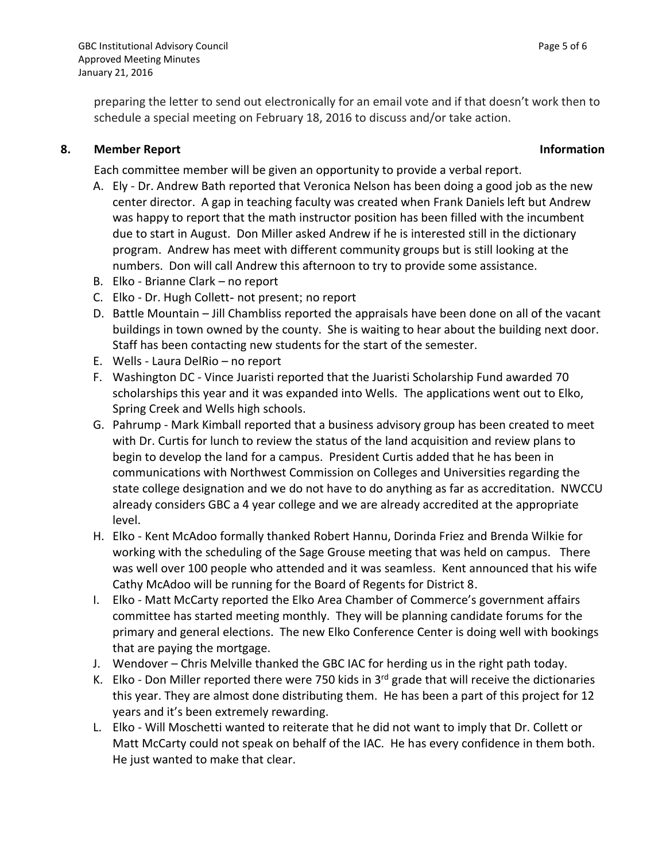preparing the letter to send out electronically for an email vote and if that doesn't work then to schedule a special meeting on February 18, 2016 to discuss and/or take action.

# **8. Member Report Information**

Each committee member will be given an opportunity to provide a verbal report.

- A. Ely Dr. Andrew Bath reported that Veronica Nelson has been doing a good job as the new center director. A gap in teaching faculty was created when Frank Daniels left but Andrew was happy to report that the math instructor position has been filled with the incumbent due to start in August. Don Miller asked Andrew if he is interested still in the dictionary program. Andrew has meet with different community groups but is still looking at the numbers. Don will call Andrew this afternoon to try to provide some assistance.
- B. Elko Brianne Clark no report
- C. Elko Dr. Hugh Collett- not present; no report
- D. Battle Mountain Jill Chambliss reported the appraisals have been done on all of the vacant buildings in town owned by the county. She is waiting to hear about the building next door. Staff has been contacting new students for the start of the semester.
- E. Wells Laura DelRio no report
- F. Washington DC Vince Juaristi reported that the Juaristi Scholarship Fund awarded 70 scholarships this year and it was expanded into Wells. The applications went out to Elko, Spring Creek and Wells high schools.
- G. Pahrump Mark Kimball reported that a business advisory group has been created to meet with Dr. Curtis for lunch to review the status of the land acquisition and review plans to begin to develop the land for a campus. President Curtis added that he has been in communications with Northwest Commission on Colleges and Universities regarding the state college designation and we do not have to do anything as far as accreditation. NWCCU already considers GBC a 4 year college and we are already accredited at the appropriate level.
- H. Elko Kent McAdoo formally thanked Robert Hannu, Dorinda Friez and Brenda Wilkie for working with the scheduling of the Sage Grouse meeting that was held on campus. There was well over 100 people who attended and it was seamless. Kent announced that his wife Cathy McAdoo will be running for the Board of Regents for District 8.
- I. Elko Matt McCarty reported the Elko Area Chamber of Commerce's government affairs committee has started meeting monthly. They will be planning candidate forums for the primary and general elections. The new Elko Conference Center is doing well with bookings that are paying the mortgage.
- J. Wendover Chris Melville thanked the GBC IAC for herding us in the right path today.
- K. Elko Don Miller reported there were 750 kids in  $3<sup>rd</sup>$  grade that will receive the dictionaries this year. They are almost done distributing them. He has been a part of this project for 12 years and it's been extremely rewarding.
- L. Elko Will Moschetti wanted to reiterate that he did not want to imply that Dr. Collett or Matt McCarty could not speak on behalf of the IAC. He has every confidence in them both. He just wanted to make that clear.